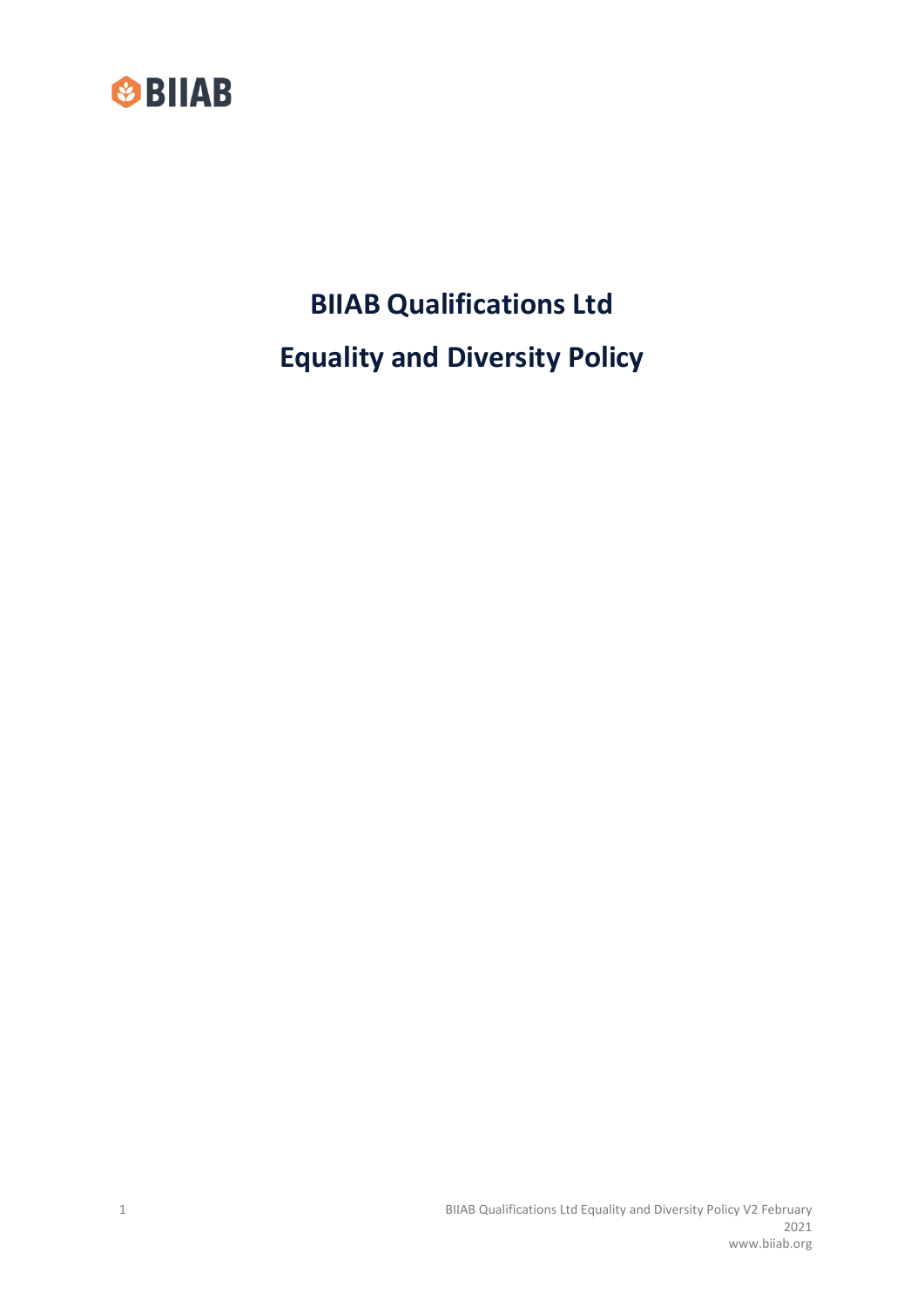

**BIIAB Qualifications Ltd Equality and Diversity Policy**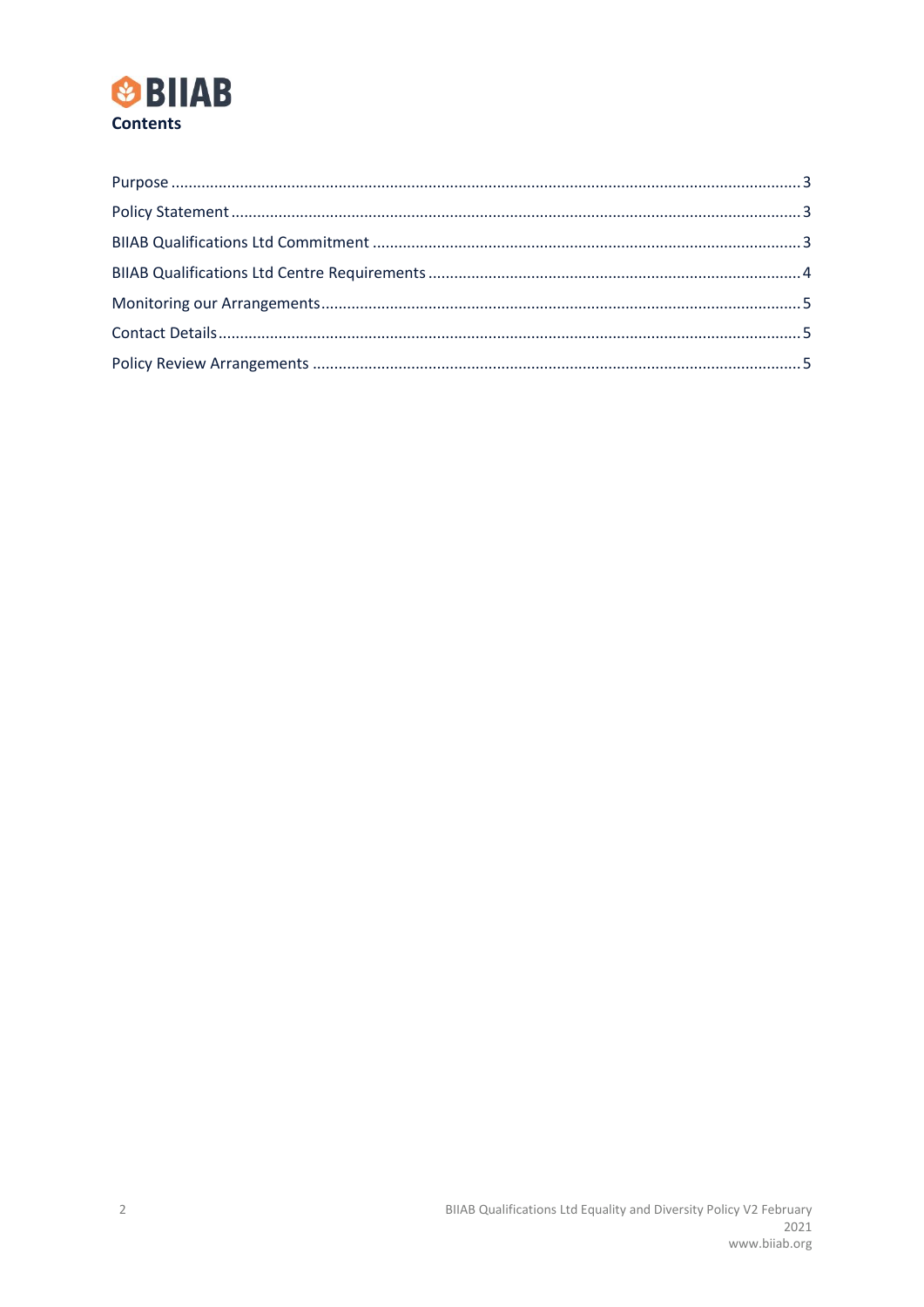# **SPIIAB Contents**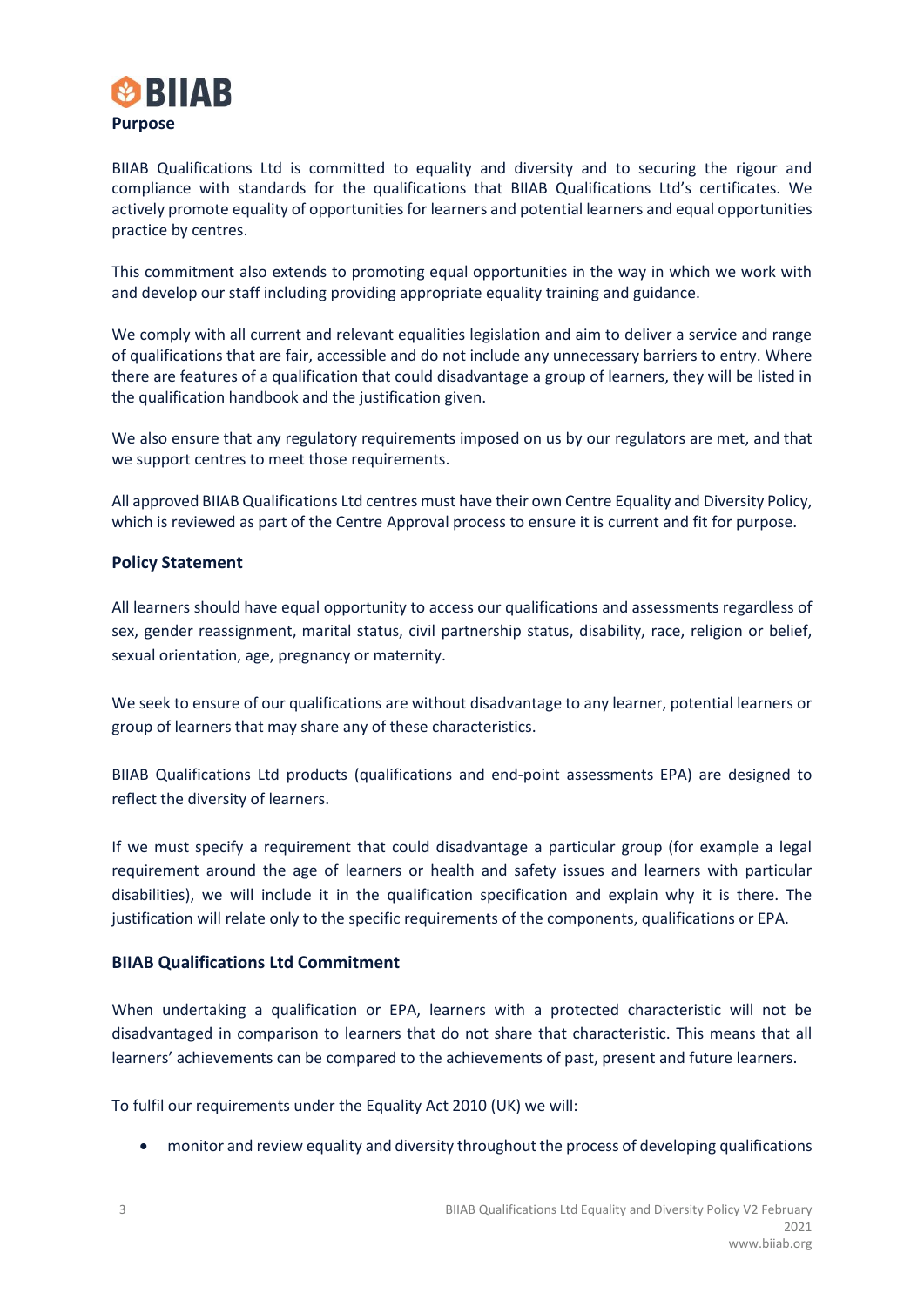<span id="page-2-0"></span>

BIIAB Qualifications Ltd is committed to equality and diversity and to securing the rigour and compliance with standards for the qualifications that BIIAB Qualifications Ltd's certificates. We actively promote equality of opportunities for learners and potential learners and equal opportunities practice by centres.

This commitment also extends to promoting equal opportunities in the way in which we work with and develop our staff including providing appropriate equality training and guidance.

We comply with all current and relevant equalities legislation and aim to deliver a service and range of qualifications that are fair, accessible and do not include any unnecessary barriers to entry. Where there are features of a qualification that could disadvantage a group of learners, they will be listed in the qualification handbook and the justification given.

We also ensure that any regulatory requirements imposed on us by our regulators are met, and that we support centres to meet those requirements.

All approved BIIAB Qualifications Ltd centres must have their own Centre Equality and Diversity Policy, which is reviewed as part of the Centre Approval process to ensure it is current and fit for purpose.

## <span id="page-2-1"></span>**Policy Statement**

All learners should have equal opportunity to access our qualifications and assessments regardless of sex, gender reassignment, marital status, civil partnership status, disability, race, religion or belief, sexual orientation, age, pregnancy or maternity.

We seek to ensure of our qualifications are without disadvantage to any learner, potential learners or group of learners that may share any of these characteristics.

BIIAB Qualifications Ltd products (qualifications and end-point assessments EPA) are designed to reflect the diversity of learners.

If we must specify a requirement that could disadvantage a particular group (for example a legal requirement around the age of learners or health and safety issues and learners with particular disabilities), we will include it in the qualification specification and explain why it is there. The justification will relate only to the specific requirements of the components, qualifications or EPA.

### <span id="page-2-2"></span>**BIIAB Qualifications Ltd Commitment**

When undertaking a qualification or EPA, learners with a protected characteristic will not be disadvantaged in comparison to learners that do not share that characteristic. This means that all learners' achievements can be compared to the achievements of past, present and future learners.

To fulfil our requirements under the Equality Act 2010 (UK) we will:

• monitor and review equality and diversity throughout the process of developing qualifications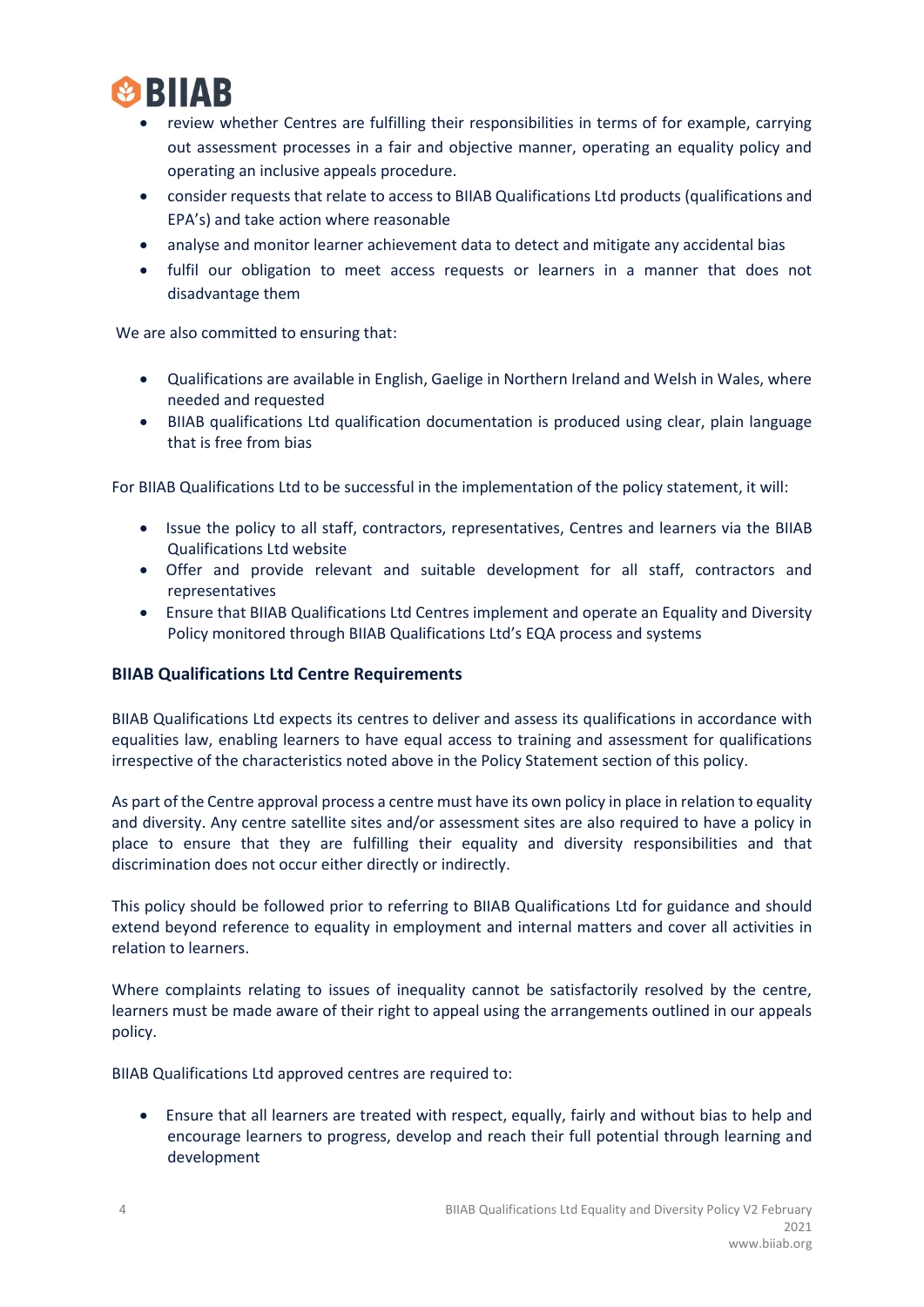

- review whether Centres are fulfilling their responsibilities in terms of for example, carrying out assessment processes in a fair and objective manner, operating an equality policy and operating an inclusive appeals procedure.
- consider requests that relate to access to BIIAB Qualifications Ltd products (qualifications and EPA's) and take action where reasonable
- analyse and monitor learner achievement data to detect and mitigate any accidental bias
- fulfil our obligation to meet access requests or learners in a manner that does not disadvantage them

We are also committed to ensuring that:

- Qualifications are available in English, Gaelige in Northern Ireland and Welsh in Wales, where needed and requested
- BIIAB qualifications Ltd qualification documentation is produced using clear, plain language that is free from bias

For BIIAB Qualifications Ltd to be successful in the implementation of the policy statement, it will:

- Issue the policy to all staff, contractors, representatives, Centres and learners via the BIIAB Qualifications Ltd website
- Offer and provide relevant and suitable development for all staff, contractors and representatives
- Ensure that BIIAB Qualifications Ltd Centres implement and operate an Equality and Diversity Policy monitored through BIIAB Qualifications Ltd's EQA process and systems

### <span id="page-3-0"></span>**BIIAB Qualifications Ltd Centre Requirements**

BIIAB Qualifications Ltd expects its centres to deliver and assess its qualifications in accordance with equalities law, enabling learners to have equal access to training and assessment for qualifications irrespective of the characteristics noted above in the Policy Statement section of this policy.

As part of the Centre approval process a centre must have its own policy in place in relation to equality and diversity. Any centre satellite sites and/or assessment sites are also required to have a policy in place to ensure that they are fulfilling their equality and diversity responsibilities and that discrimination does not occur either directly or indirectly.

This policy should be followed prior to referring to BIIAB Qualifications Ltd for guidance and should extend beyond reference to equality in employment and internal matters and cover all activities in relation to learners.

Where complaints relating to issues of inequality cannot be satisfactorily resolved by the centre, learners must be made aware of their right to appeal using the arrangements outlined in our appeals policy.

BIIAB Qualifications Ltd approved centres are required to:

• Ensure that all learners are treated with respect, equally, fairly and without bias to help and encourage learners to progress, develop and reach their full potential through learning and development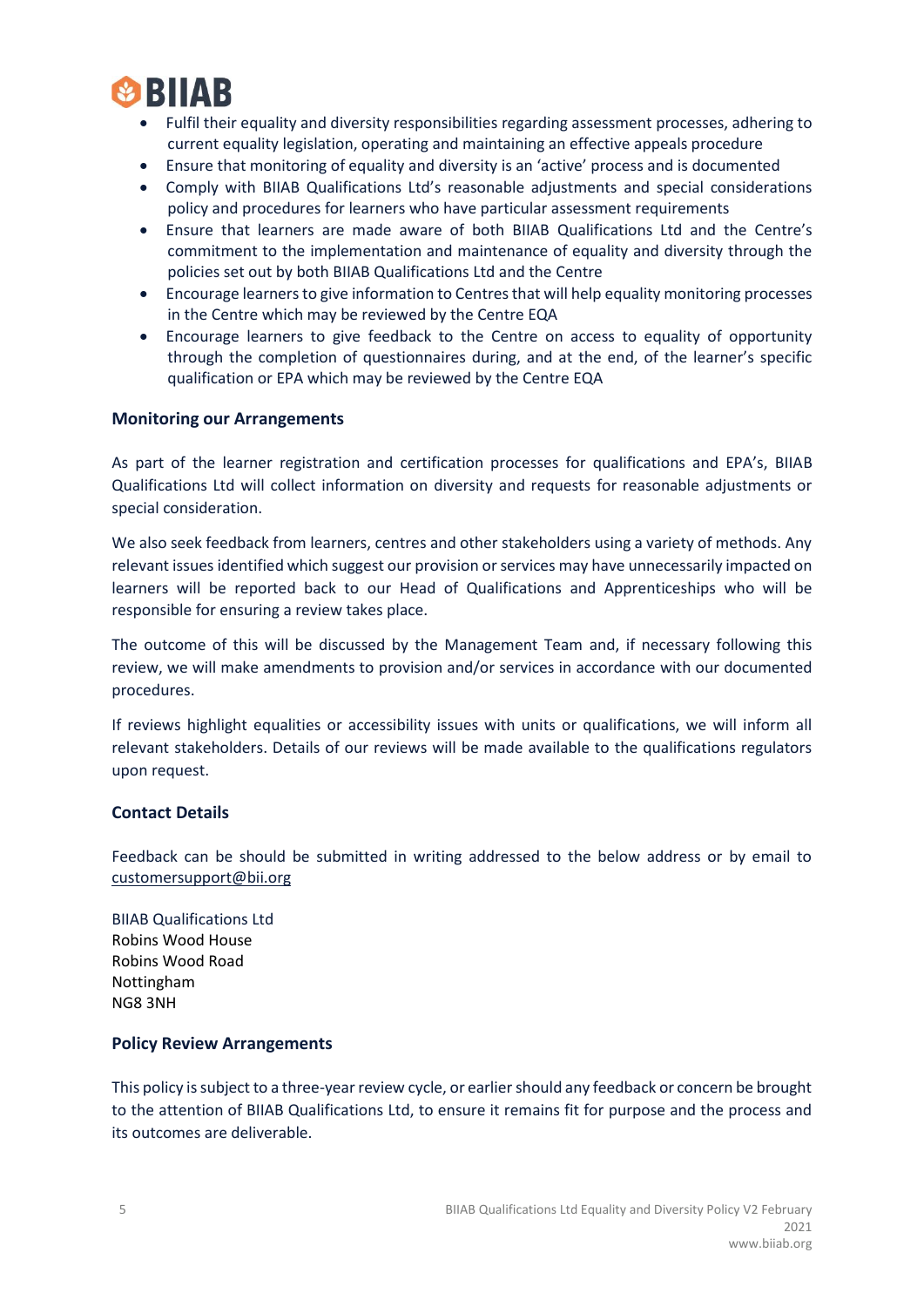

- Fulfil their equality and diversity responsibilities regarding assessment processes, adhering to current equality legislation, operating and maintaining an effective appeals procedure
- Ensure that monitoring of equality and diversity is an 'active' process and is documented
- Comply with BIIAB Qualifications Ltd's reasonable adjustments and special considerations policy and procedures for learners who have particular assessment requirements
- Ensure that learners are made aware of both BIIAB Qualifications Ltd and the Centre's commitment to the implementation and maintenance of equality and diversity through the policies set out by both BIIAB Qualifications Ltd and the Centre
- Encourage learners to give information to Centres that will help equality monitoring processes in the Centre which may be reviewed by the Centre EQA
- Encourage learners to give feedback to the Centre on access to equality of opportunity through the completion of questionnaires during, and at the end, of the learner's specific qualification or EPA which may be reviewed by the Centre EQA

### <span id="page-4-0"></span>**Monitoring our Arrangements**

As part of the learner registration and certification processes for qualifications and EPA's, BIIAB Qualifications Ltd will collect information on diversity and requests for reasonable adjustments or special consideration.

We also seek feedback from learners, centres and other stakeholders using a variety of methods. Any relevant issues identified which suggest our provision or services may have unnecessarily impacted on learners will be reported back to our Head of Qualifications and Apprenticeships who will be responsible for ensuring a review takes place.

The outcome of this will be discussed by the Management Team and, if necessary following this review, we will make amendments to provision and/or services in accordance with our documented procedures.

If reviews highlight equalities or accessibility issues with units or qualifications, we will inform all relevant stakeholders. Details of our reviews will be made available to the qualifications regulators upon request.

### <span id="page-4-1"></span>**Contact Details**

Feedback can be should be submitted in writing addressed to the below address or by email to [customersupport@bii.org](mailto:customersupport@bii.org)

BIIAB Qualifications Ltd Robins Wood House Robins Wood Road Nottingham NG8 3NH

#### <span id="page-4-2"></span>**Policy Review Arrangements**

This policy is subject to a three-year review cycle, or earlier should any feedback or concern be brought to the attention of BIIAB Qualifications Ltd, to ensure it remains fit for purpose and the process and its outcomes are deliverable.